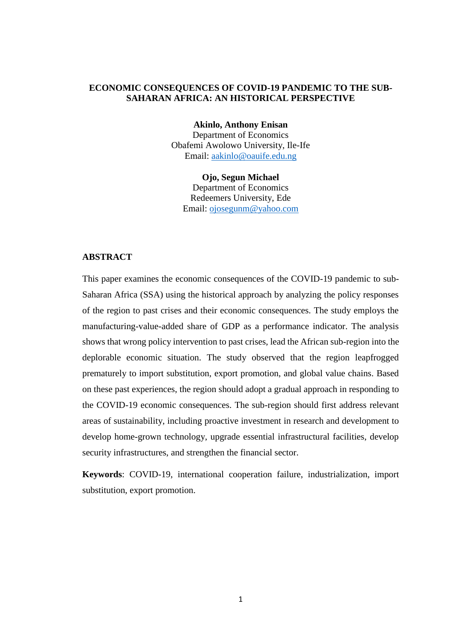## **ECONOMIC CONSEQUENCES OF COVID-19 PANDEMIC TO THE SUB-SAHARAN AFRICA: AN HISTORICAL PERSPECTIVE**

**Akinlo, Anthony Enisan**

Department of Economics Obafemi Awolowo University, Ile-Ife Email: [aakinlo@oauife.edu.ng](mailto:aakinlo@oauife.edu.ng)

**Ojo, Segun Michael** Department of Economics Redeemers University, Ede Email: [ojosegunm@yahoo.com](mailto:ojosegunm@yahoo.com)

## **ABSTRACT**

This paper examines the economic consequences of the COVID-19 pandemic to sub-Saharan Africa (SSA) using the historical approach by analyzing the policy responses of the region to past crises and their economic consequences. The study employs the manufacturing-value-added share of GDP as a performance indicator. The analysis shows that wrong policy intervention to past crises, lead the African sub-region into the deplorable economic situation. The study observed that the region leapfrogged prematurely to import substitution, export promotion, and global value chains. Based on these past experiences, the region should adopt a gradual approach in responding to the COVID-19 economic consequences. The sub-region should first address relevant areas of sustainability, including proactive investment in research and development to develop home-grown technology, upgrade essential infrastructural facilities, develop security infrastructures, and strengthen the financial sector.

**Keywords**: COVID-19, international cooperation failure, industrialization, import substitution, export promotion.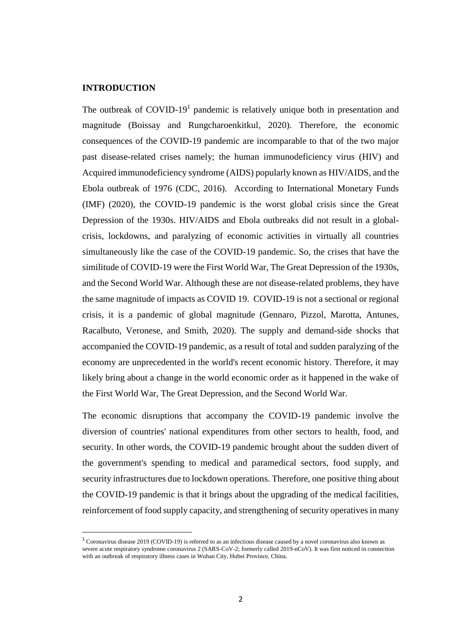## **INTRODUCTION**

**.** 

The outbreak of  $COVID-19<sup>1</sup>$  pandemic is relatively unique both in presentation and magnitude (Boissay and Rungcharoenkitkul, 2020). Therefore, the economic consequences of the COVID-19 pandemic are incomparable to that of the two major past disease-related crises namely; the human immunodeficiency virus (HIV) and Acquired immunodeficiency syndrome (AIDS) popularly known as HIV/AIDS, and the Ebola outbreak of 1976 (CDC, 2016). According to International Monetary Funds (IMF) (2020), the COVID-19 pandemic is the worst global crisis since the Great Depression of the 1930s. HIV/AIDS and Ebola outbreaks did not result in a globalcrisis, lockdowns, and paralyzing of economic activities in virtually all countries simultaneously like the case of the COVID-19 pandemic. So, the crises that have the similitude of COVID-19 were the First World War, The Great Depression of the 1930s, and the Second World War. Although these are not disease-related problems, they have the same magnitude of impacts as COVID 19. COVID-19 is not a sectional or regional crisis, it is a pandemic of global magnitude (Gennaro, Pizzol, Marotta, Antunes, Racalbuto, Veronese, and Smith, 2020). The supply and demand-side shocks that accompanied the COVID-19 pandemic, as a result of total and sudden paralyzing of the economy are unprecedented in the world's recent economic history. Therefore, it may likely bring about a change in the world economic order as it happened in the wake of the First World War, The Great Depression, and the Second World War.

The economic disruptions that accompany the COVID-19 pandemic involve the diversion of countries' national expenditures from other sectors to health, food, and security. In other words, the COVID-19 pandemic brought about the sudden divert of the government's spending to medical and paramedical sectors, food supply, and security infrastructures due to lockdown operations. Therefore, one positive thing about the COVID-19 pandemic is that it brings about the upgrading of the medical facilities, reinforcement of food supply capacity, and strengthening of security operatives in many

<sup>1</sup> Coronavirus disease 2019 (COVID-19) is referred to as an infectious disease caused by a novel coronavirus also known as severe acute respiratory syndrome coronavirus 2 (SARS-CoV-2; formerly called 2019-nCoV). It was first noticed in connection with an outbreak of respiratory illness cases in Wuhan City, Hubei Province, China.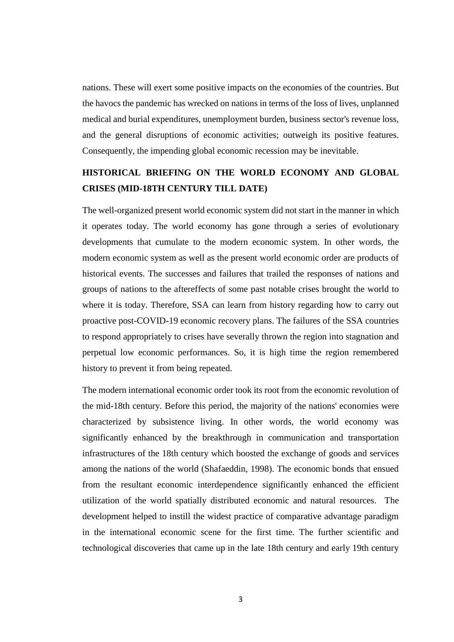nations. These will exert some positive impacts on the economies of the countries. But the havocs the pandemic has wrecked on nations in terms of the loss of lives, unplanned medical and burial expenditures, unemployment burden, business sector's revenue loss, and the general disruptions of economic activities; outweigh its positive features. Consequently, the impending global economic recession may be inevitable.

# **HISTORICAL BRIEFING ON THE WORLD ECONOMY AND GLOBAL CRISES (MID-18TH CENTURY TILL DATE)**

The well-organized present world economic system did not start in the manner in which it operates today. The world economy has gone through a series of evolutionary developments that cumulate to the modern economic system. In other words, the modern economic system as well as the present world economic order are products of historical events. The successes and failures that trailed the responses of nations and groups of nations to the aftereffects of some past notable crises brought the world to where it is today. Therefore, SSA can learn from history regarding how to carry out proactive post-COVID-19 economic recovery plans. The failures of the SSA countries to respond appropriately to crises have severally thrown the region into stagnation and perpetual low economic performances. So, it is high time the region remembered history to prevent it from being repeated.

The modern international economic order took its root from the economic revolution of the mid-18th century. Before this period, the majority of the nations' economies were characterized by subsistence living. In other words, the world economy was significantly enhanced by the breakthrough in communication and transportation infrastructures of the 18th century which boosted the exchange of goods and services among the nations of the world (Shafaeddin, 1998). The economic bonds that ensued from the resultant economic interdependence significantly enhanced the efficient utilization of the world spatially distributed economic and natural resources. The development helped to instill the widest practice of comparative advantage paradigm in the international economic scene for the first time. The further scientific and technological discoveries that came up in the late 18th century and early 19th century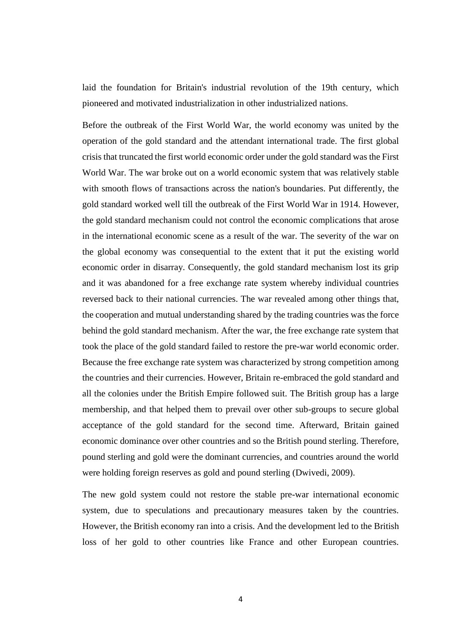laid the foundation for Britain's industrial revolution of the 19th century, which pioneered and motivated industrialization in other industrialized nations.

Before the outbreak of the First World War, the world economy was united by the operation of the gold standard and the attendant international trade. The first global crisis that truncated the first world economic order under the gold standard was the First World War. The war broke out on a world economic system that was relatively stable with smooth flows of transactions across the nation's boundaries. Put differently, the gold standard worked well till the outbreak of the First World War in 1914. However, the gold standard mechanism could not control the economic complications that arose in the international economic scene as a result of the war. The severity of the war on the global economy was consequential to the extent that it put the existing world economic order in disarray. Consequently, the gold standard mechanism lost its grip and it was abandoned for a free exchange rate system whereby individual countries reversed back to their national currencies. The war revealed among other things that, the cooperation and mutual understanding shared by the trading countries was the force behind the gold standard mechanism. After the war, the free exchange rate system that took the place of the gold standard failed to restore the pre-war world economic order. Because the free exchange rate system was characterized by strong competition among the countries and their currencies. However, Britain re-embraced the gold standard and all the colonies under the British Empire followed suit. The British group has a large membership, and that helped them to prevail over other sub-groups to secure global acceptance of the gold standard for the second time. Afterward, Britain gained economic dominance over other countries and so the British pound sterling. Therefore, pound sterling and gold were the dominant currencies, and countries around the world were holding foreign reserves as gold and pound sterling (Dwivedi, 2009).

The new gold system could not restore the stable pre-war international economic system, due to speculations and precautionary measures taken by the countries. However, the British economy ran into a crisis. And the development led to the British loss of her gold to other countries like France and other European countries.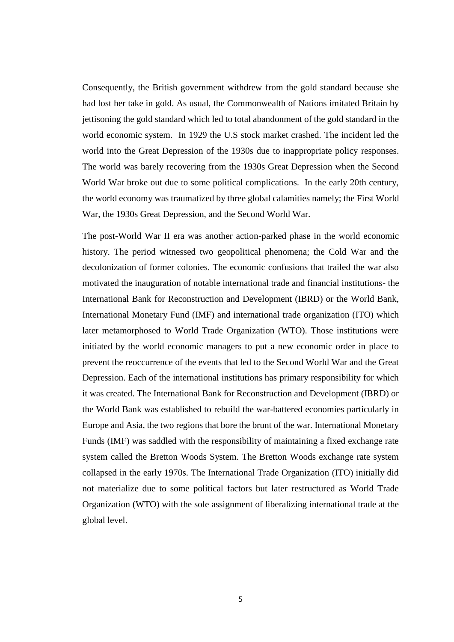Consequently, the British government withdrew from the gold standard because she had lost her take in gold. As usual, the Commonwealth of Nations imitated Britain by jettisoning the gold standard which led to total abandonment of the gold standard in the world economic system. In 1929 the U.S stock market crashed. The incident led the world into the Great Depression of the 1930s due to inappropriate policy responses. The world was barely recovering from the 1930s Great Depression when the Second World War broke out due to some political complications. In the early 20th century, the world economy was traumatized by three global calamities namely; the First World War, the 1930s Great Depression, and the Second World War.

The post-World War II era was another action-parked phase in the world economic history. The period witnessed two geopolitical phenomena; the Cold War and the decolonization of former colonies. The economic confusions that trailed the war also motivated the inauguration of notable international trade and financial institutions- the International Bank for Reconstruction and Development (IBRD) or the World Bank, International Monetary Fund (IMF) and international trade organization (ITO) which later metamorphosed to World Trade Organization (WTO). Those institutions were initiated by the world economic managers to put a new economic order in place to prevent the reoccurrence of the events that led to the Second World War and the Great Depression. Each of the international institutions has primary responsibility for which it was created. The International Bank for Reconstruction and Development (IBRD) or the World Bank was established to rebuild the war-battered economies particularly in Europe and Asia, the two regions that bore the brunt of the war. International Monetary Funds (IMF) was saddled with the responsibility of maintaining a fixed exchange rate system called the Bretton Woods System. The Bretton Woods exchange rate system collapsed in the early 1970s. The International Trade Organization (ITO) initially did not materialize due to some political factors but later restructured as World Trade Organization (WTO) with the sole assignment of liberalizing international trade at the global level.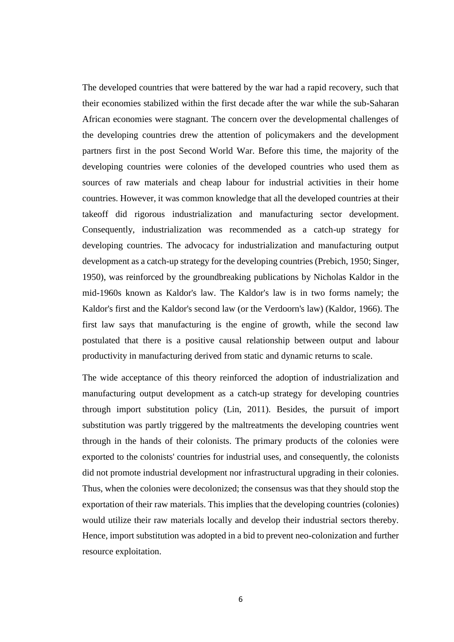The developed countries that were battered by the war had a rapid recovery, such that their economies stabilized within the first decade after the war while the sub-Saharan African economies were stagnant. The concern over the developmental challenges of the developing countries drew the attention of policymakers and the development partners first in the post Second World War. Before this time, the majority of the developing countries were colonies of the developed countries who used them as sources of raw materials and cheap labour for industrial activities in their home countries. However, it was common knowledge that all the developed countries at their takeoff did rigorous industrialization and manufacturing sector development. Consequently, industrialization was recommended as a catch-up strategy for developing countries. The advocacy for industrialization and manufacturing output development as a catch-up strategy for the developing countries (Prebich, 1950; Singer, 1950), was reinforced by the groundbreaking publications by Nicholas Kaldor in the mid-1960s known as Kaldor's law. The Kaldor's law is in two forms namely; the Kaldor's first and the Kaldor's second law (or the Verdoorn's law) (Kaldor, 1966). The first law says that manufacturing is the engine of growth, while the second law postulated that there is a positive causal relationship between output and labour productivity in manufacturing derived from static and dynamic returns to scale.

The wide acceptance of this theory reinforced the adoption of industrialization and manufacturing output development as a catch-up strategy for developing countries through import substitution policy (Lin, 2011). Besides, the pursuit of import substitution was partly triggered by the maltreatments the developing countries went through in the hands of their colonists. The primary products of the colonies were exported to the colonists' countries for industrial uses, and consequently, the colonists did not promote industrial development nor infrastructural upgrading in their colonies. Thus, when the colonies were decolonized; the consensus was that they should stop the exportation of their raw materials. This implies that the developing countries (colonies) would utilize their raw materials locally and develop their industrial sectors thereby. Hence, import substitution was adopted in a bid to prevent neo-colonization and further resource exploitation.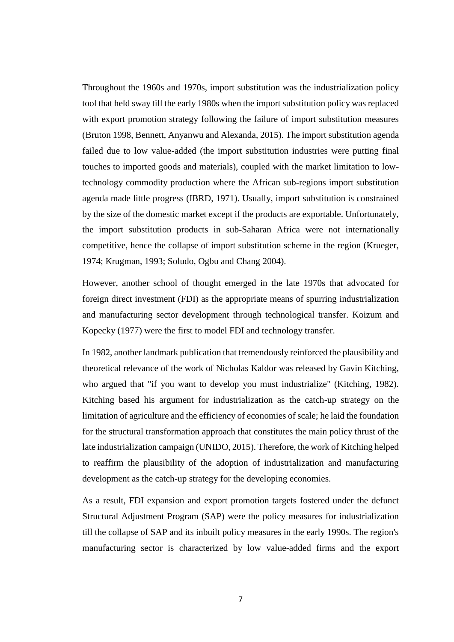Throughout the 1960s and 1970s, import substitution was the industrialization policy tool that held sway till the early 1980s when the import substitution policy was replaced with export promotion strategy following the failure of import substitution measures (Bruton 1998, Bennett, Anyanwu and Alexanda, 2015). The import substitution agenda failed due to low value-added (the import substitution industries were putting final touches to imported goods and materials), coupled with the market limitation to lowtechnology commodity production where the African sub-regions import substitution agenda made little progress (IBRD, 1971). Usually, import substitution is constrained by the size of the domestic market except if the products are exportable. Unfortunately, the import substitution products in sub-Saharan Africa were not internationally competitive, hence the collapse of import substitution scheme in the region (Krueger, 1974; Krugman, 1993; Soludo, Ogbu and Chang 2004).

However, another school of thought emerged in the late 1970s that advocated for foreign direct investment (FDI) as the appropriate means of spurring industrialization and manufacturing sector development through technological transfer. Koizum and Kopecky (1977) were the first to model FDI and technology transfer.

In 1982, another landmark publication that tremendously reinforced the plausibility and theoretical relevance of the work of Nicholas Kaldor was released by Gavin Kitching, who argued that "if you want to develop you must industrialize" (Kitching, 1982). Kitching based his argument for industrialization as the catch-up strategy on the limitation of agriculture and the efficiency of economies of scale; he laid the foundation for the structural transformation approach that constitutes the main policy thrust of the late industrialization campaign (UNIDO, 2015). Therefore, the work of Kitching helped to reaffirm the plausibility of the adoption of industrialization and manufacturing development as the catch-up strategy for the developing economies.

As a result, FDI expansion and export promotion targets fostered under the defunct Structural Adjustment Program (SAP) were the policy measures for industrialization till the collapse of SAP and its inbuilt policy measures in the early 1990s. The region's manufacturing sector is characterized by low value-added firms and the export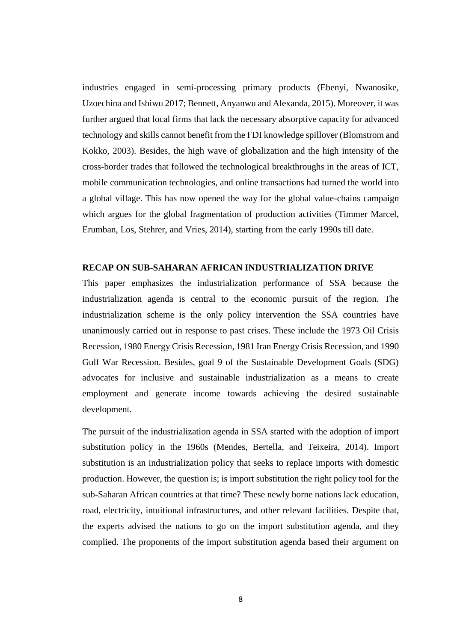industries engaged in semi-processing primary products (Ebenyi, Nwanosike, Uzoechina and Ishiwu 2017; Bennett, Anyanwu and Alexanda, 2015). Moreover, it was further argued that local firms that lack the necessary absorptive capacity for advanced technology and skills cannot benefit from the FDI knowledge spillover (Blomstrom and Kokko, 2003). Besides, the high wave of globalization and the high intensity of the cross-border trades that followed the technological breakthroughs in the areas of ICT, mobile communication technologies, and online transactions had turned the world into a global village. This has now opened the way for the global value-chains campaign which argues for the global fragmentation of production activities (Timmer Marcel, Erumban, Los, Stehrer, and Vries, 2014), starting from the early 1990s till date.

## **RECAP ON SUB-SAHARAN AFRICAN INDUSTRIALIZATION DRIVE**

This paper emphasizes the industrialization performance of SSA because the industrialization agenda is central to the economic pursuit of the region. The industrialization scheme is the only policy intervention the SSA countries have unanimously carried out in response to past crises. These include the 1973 Oil Crisis Recession, 1980 Energy Crisis Recession, 1981 Iran Energy Crisis Recession, and 1990 Gulf War Recession. Besides, goal 9 of the Sustainable Development Goals (SDG) advocates for inclusive and sustainable industrialization as a means to create employment and generate income towards achieving the desired sustainable development.

The pursuit of the industrialization agenda in SSA started with the adoption of import substitution policy in the 1960s (Mendes, Bertella, and Teixeira, 2014). Import substitution is an industrialization policy that seeks to replace imports with domestic production. However, the question is; is import substitution the right policy tool for the sub-Saharan African countries at that time? These newly borne nations lack education, road, electricity, intuitional infrastructures, and other relevant facilities. Despite that, the experts advised the nations to go on the import substitution agenda, and they complied. The proponents of the import substitution agenda based their argument on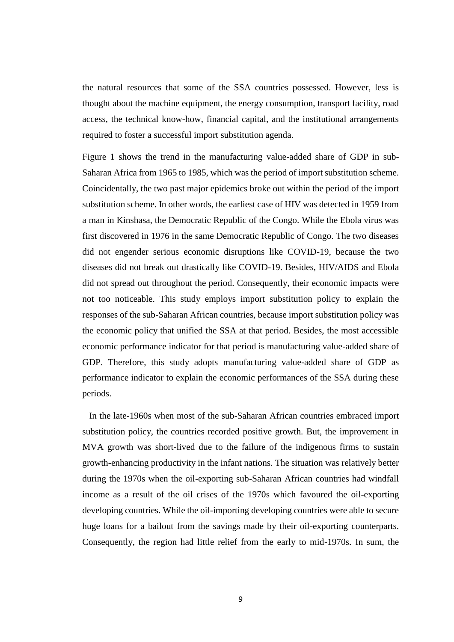the natural resources that some of the SSA countries possessed. However, less is thought about the machine equipment, the energy consumption, transport facility, road access, the technical know-how, financial capital, and the institutional arrangements required to foster a successful import substitution agenda.

Figure 1 shows the trend in the manufacturing value-added share of GDP in sub-Saharan Africa from 1965 to 1985, which was the period of import substitution scheme. Coincidentally, the two past major epidemics broke out within the period of the import substitution scheme. In other words, the earliest case of HIV was detected in 1959 from a man in Kinshasa, the Democratic Republic of the Congo. While the Ebola virus was first discovered in 1976 in the same Democratic Republic of Congo. The two diseases did not engender serious economic disruptions like COVID-19, because the two diseases did not break out drastically like COVID-19. Besides, HIV/AIDS and Ebola did not spread out throughout the period. Consequently, their economic impacts were not too noticeable. This study employs import substitution policy to explain the responses of the sub-Saharan African countries, because import substitution policy was the economic policy that unified the SSA at that period. Besides, the most accessible economic performance indicator for that period is manufacturing value-added share of GDP. Therefore, this study adopts manufacturing value-added share of GDP as performance indicator to explain the economic performances of the SSA during these periods.

 In the late-1960s when most of the sub-Saharan African countries embraced import substitution policy, the countries recorded positive growth. But, the improvement in MVA growth was short-lived due to the failure of the indigenous firms to sustain growth-enhancing productivity in the infant nations. The situation was relatively better during the 1970s when the oil-exporting sub-Saharan African countries had windfall income as a result of the oil crises of the 1970s which favoured the oil-exporting developing countries. While the oil-importing developing countries were able to secure huge loans for a bailout from the savings made by their oil-exporting counterparts. Consequently, the region had little relief from the early to mid-1970s. In sum, the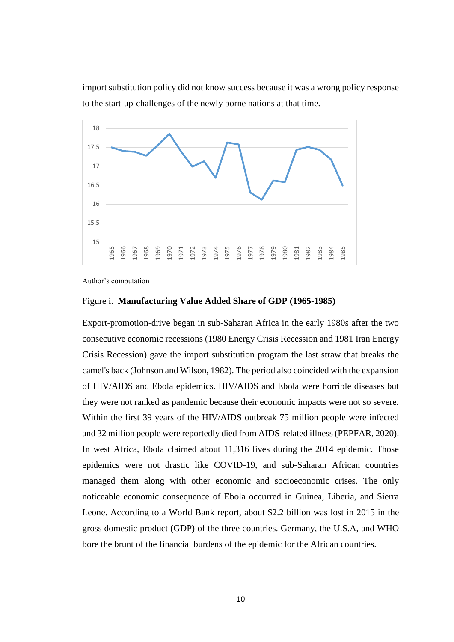import substitution policy did not know success because it was a wrong policy response to the start-up-challenges of the newly borne nations at that time.



Author's computation

#### Figure i. **Manufacturing Value Added Share of GDP (1965-1985)**

Export-promotion-drive began in sub-Saharan Africa in the early 1980s after the two consecutive economic recessions (1980 Energy Crisis Recession and 1981 Iran Energy Crisis Recession) gave the import substitution program the last straw that breaks the camel's back (Johnson and Wilson, 1982). The period also coincided with the expansion of HIV/AIDS and Ebola epidemics. HIV/AIDS and Ebola were horrible diseases but they were not ranked as pandemic because their economic impacts were not so severe. Within the first 39 years of the HIV/AIDS outbreak 75 million people were infected and 32 million people were reportedly died from AIDS-related illness (PEPFAR, 2020). In west Africa, Ebola claimed about 11,316 lives during the 2014 epidemic. Those epidemics were not drastic like COVID-19, and sub-Saharan African countries managed them along with other economic and socioeconomic crises. The only noticeable economic consequence of Ebola occurred in Guinea, Liberia, and Sierra Leone. According to a World Bank report, about \$2.2 billion was lost in 2015 in the gross domestic product (GDP) of the three countries. Germany, the U.S.A, and WHO bore the brunt of the financial burdens of the epidemic for the African countries.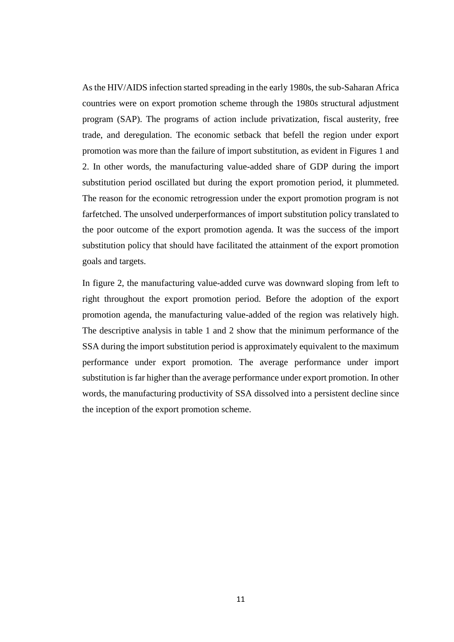As the HIV/AIDS infection started spreading in the early 1980s, the sub-Saharan Africa countries were on export promotion scheme through the 1980s structural adjustment program (SAP). The programs of action include privatization, fiscal austerity, free trade, and deregulation. The economic setback that befell the region under export promotion was more than the failure of import substitution, as evident in Figures 1 and 2. In other words, the manufacturing value-added share of GDP during the import substitution period oscillated but during the export promotion period, it plummeted. The reason for the economic retrogression under the export promotion program is not farfetched. The unsolved underperformances of import substitution policy translated to the poor outcome of the export promotion agenda. It was the success of the import substitution policy that should have facilitated the attainment of the export promotion goals and targets.

In figure 2, the manufacturing value-added curve was downward sloping from left to right throughout the export promotion period. Before the adoption of the export promotion agenda, the manufacturing value-added of the region was relatively high. The descriptive analysis in table 1 and 2 show that the minimum performance of the SSA during the import substitution period is approximately equivalent to the maximum performance under export promotion. The average performance under import substitution is far higher than the average performance under export promotion. In other words, the manufacturing productivity of SSA dissolved into a persistent decline since the inception of the export promotion scheme.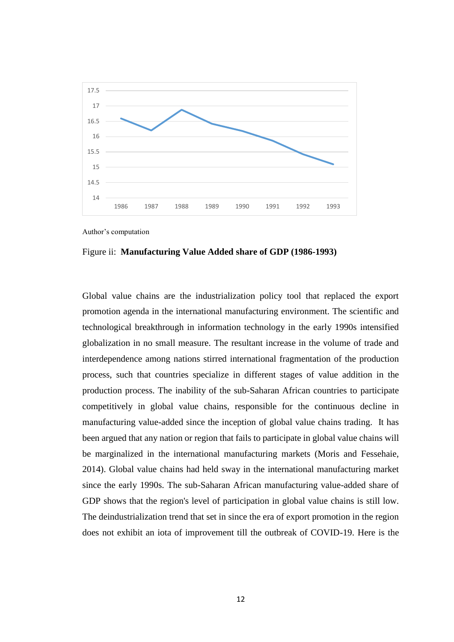

Author's computation

Figure ii: **Manufacturing Value Added share of GDP (1986-1993)**

Global value chains are the industrialization policy tool that replaced the export promotion agenda in the international manufacturing environment. The scientific and technological breakthrough in information technology in the early 1990s intensified globalization in no small measure. The resultant increase in the volume of trade and interdependence among nations stirred international fragmentation of the production process, such that countries specialize in different stages of value addition in the production process. The inability of the sub-Saharan African countries to participate competitively in global value chains, responsible for the continuous decline in manufacturing value-added since the inception of global value chains trading. It has been argued that any nation or region that fails to participate in global value chains will be marginalized in the international manufacturing markets (Moris and Fessehaie, 2014). Global value chains had held sway in the international manufacturing market since the early 1990s. The sub-Saharan African manufacturing value-added share of GDP shows that the region's level of participation in global value chains is still low. The deindustrialization trend that set in since the era of export promotion in the region does not exhibit an iota of improvement till the outbreak of COVID-19. Here is the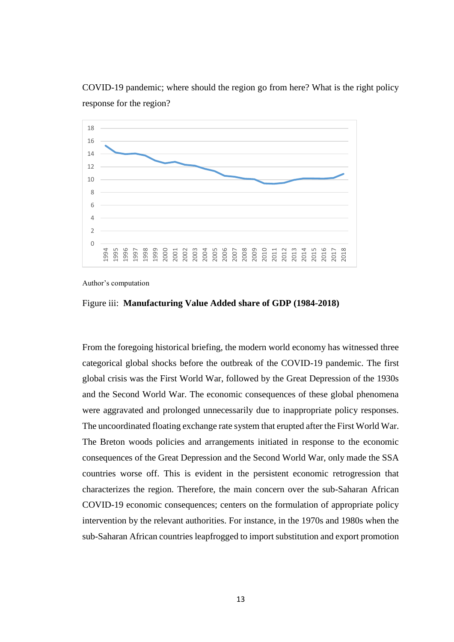

COVID-19 pandemic; where should the region go from here? What is the right policy response for the region?

Author's computation



From the foregoing historical briefing, the modern world economy has witnessed three categorical global shocks before the outbreak of the COVID-19 pandemic. The first global crisis was the First World War, followed by the Great Depression of the 1930s and the Second World War. The economic consequences of these global phenomena were aggravated and prolonged unnecessarily due to inappropriate policy responses. The uncoordinated floating exchange rate system that erupted after the First World War. The Breton woods policies and arrangements initiated in response to the economic consequences of the Great Depression and the Second World War, only made the SSA countries worse off. This is evident in the persistent economic retrogression that characterizes the region. Therefore, the main concern over the sub-Saharan African COVID-19 economic consequences; centers on the formulation of appropriate policy intervention by the relevant authorities. For instance, in the 1970s and 1980s when the sub-Saharan African countries leapfrogged to import substitution and export promotion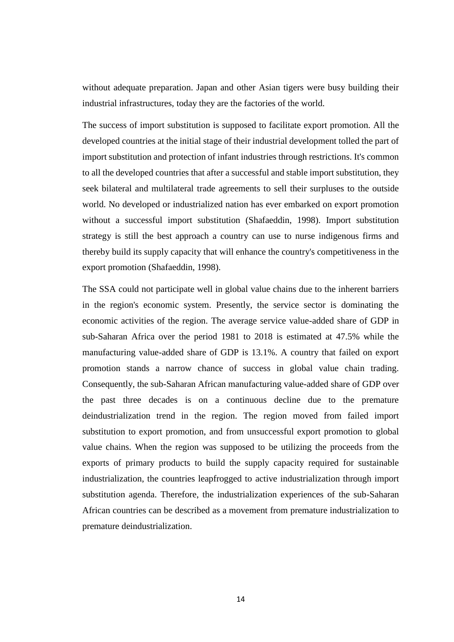without adequate preparation. Japan and other Asian tigers were busy building their industrial infrastructures, today they are the factories of the world.

The success of import substitution is supposed to facilitate export promotion. All the developed countries at the initial stage of their industrial development tolled the part of import substitution and protection of infant industries through restrictions. It's common to all the developed countries that after a successful and stable import substitution, they seek bilateral and multilateral trade agreements to sell their surpluses to the outside world. No developed or industrialized nation has ever embarked on export promotion without a successful import substitution (Shafaeddin, 1998). Import substitution strategy is still the best approach a country can use to nurse indigenous firms and thereby build its supply capacity that will enhance the country's competitiveness in the export promotion (Shafaeddin, 1998).

The SSA could not participate well in global value chains due to the inherent barriers in the region's economic system. Presently, the service sector is dominating the economic activities of the region. The average service value-added share of GDP in sub-Saharan Africa over the period 1981 to 2018 is estimated at 47.5% while the manufacturing value-added share of GDP is 13.1%. A country that failed on export promotion stands a narrow chance of success in global value chain trading. Consequently, the sub-Saharan African manufacturing value-added share of GDP over the past three decades is on a continuous decline due to the premature deindustrialization trend in the region. The region moved from failed import substitution to export promotion, and from unsuccessful export promotion to global value chains. When the region was supposed to be utilizing the proceeds from the exports of primary products to build the supply capacity required for sustainable industrialization, the countries leapfrogged to active industrialization through import substitution agenda. Therefore, the industrialization experiences of the sub-Saharan African countries can be described as a movement from premature industrialization to premature deindustrialization.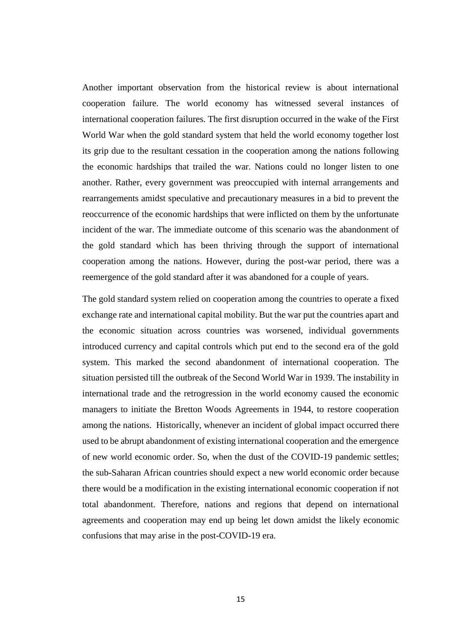Another important observation from the historical review is about international cooperation failure. The world economy has witnessed several instances of international cooperation failures. The first disruption occurred in the wake of the First World War when the gold standard system that held the world economy together lost its grip due to the resultant cessation in the cooperation among the nations following the economic hardships that trailed the war. Nations could no longer listen to one another. Rather, every government was preoccupied with internal arrangements and rearrangements amidst speculative and precautionary measures in a bid to prevent the reoccurrence of the economic hardships that were inflicted on them by the unfortunate incident of the war. The immediate outcome of this scenario was the abandonment of the gold standard which has been thriving through the support of international cooperation among the nations. However, during the post-war period, there was a reemergence of the gold standard after it was abandoned for a couple of years.

The gold standard system relied on cooperation among the countries to operate a fixed exchange rate and international capital mobility. But the war put the countries apart and the economic situation across countries was worsened, individual governments introduced currency and capital controls which put end to the second era of the gold system. This marked the second abandonment of international cooperation. The situation persisted till the outbreak of the Second World War in 1939. The instability in international trade and the retrogression in the world economy caused the economic managers to initiate the Bretton Woods Agreements in 1944, to restore cooperation among the nations. Historically, whenever an incident of global impact occurred there used to be abrupt abandonment of existing international cooperation and the emergence of new world economic order. So, when the dust of the COVID-19 pandemic settles; the sub-Saharan African countries should expect a new world economic order because there would be a modification in the existing international economic cooperation if not total abandonment. Therefore, nations and regions that depend on international agreements and cooperation may end up being let down amidst the likely economic confusions that may arise in the post-COVID-19 era.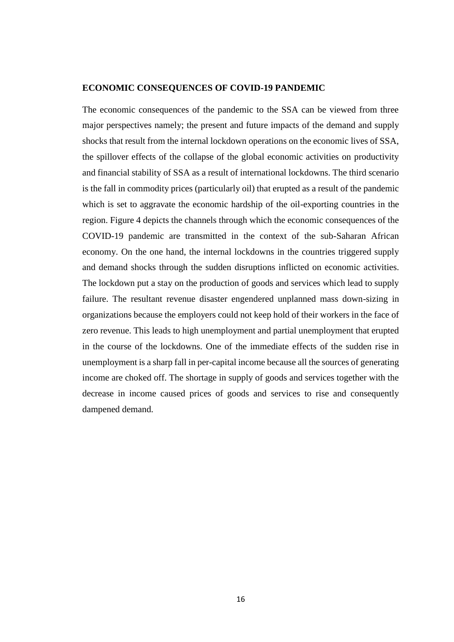## **ECONOMIC CONSEQUENCES OF COVID-19 PANDEMIC**

The economic consequences of the pandemic to the SSA can be viewed from three major perspectives namely; the present and future impacts of the demand and supply shocks that result from the internal lockdown operations on the economic lives of SSA, the spillover effects of the collapse of the global economic activities on productivity and financial stability of SSA as a result of international lockdowns. The third scenario is the fall in commodity prices (particularly oil) that erupted as a result of the pandemic which is set to aggravate the economic hardship of the oil-exporting countries in the region. Figure 4 depicts the channels through which the economic consequences of the COVID-19 pandemic are transmitted in the context of the sub-Saharan African economy. On the one hand, the internal lockdowns in the countries triggered supply and demand shocks through the sudden disruptions inflicted on economic activities. The lockdown put a stay on the production of goods and services which lead to supply failure. The resultant revenue disaster engendered unplanned mass down-sizing in organizations because the employers could not keep hold of their workers in the face of zero revenue. This leads to high unemployment and partial unemployment that erupted in the course of the lockdowns. One of the immediate effects of the sudden rise in unemployment is a sharp fall in per-capital income because all the sources of generating income are choked off. The shortage in supply of goods and services together with the decrease in income caused prices of goods and services to rise and consequently dampened demand.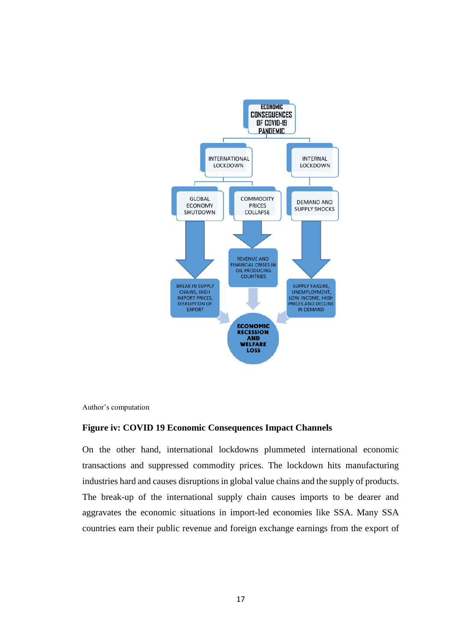

Author's computation

#### **Figure iv: COVID 19 Economic Consequences Impact Channels**

On the other hand, international lockdowns plummeted international economic transactions and suppressed commodity prices. The lockdown hits manufacturing industries hard and causes disruptions in global value chains and the supply of products. The break-up of the international supply chain causes imports to be dearer and aggravates the economic situations in import-led economies like SSA. Many SSA countries earn their public revenue and foreign exchange earnings from the export of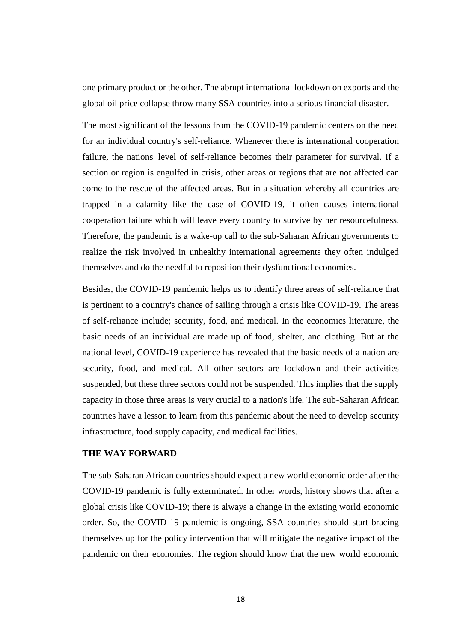one primary product or the other. The abrupt international lockdown on exports and the global oil price collapse throw many SSA countries into a serious financial disaster.

The most significant of the lessons from the COVID-19 pandemic centers on the need for an individual country's self-reliance. Whenever there is international cooperation failure, the nations' level of self-reliance becomes their parameter for survival. If a section or region is engulfed in crisis, other areas or regions that are not affected can come to the rescue of the affected areas. But in a situation whereby all countries are trapped in a calamity like the case of COVID-19, it often causes international cooperation failure which will leave every country to survive by her resourcefulness. Therefore, the pandemic is a wake-up call to the sub-Saharan African governments to realize the risk involved in unhealthy international agreements they often indulged themselves and do the needful to reposition their dysfunctional economies.

Besides, the COVID-19 pandemic helps us to identify three areas of self-reliance that is pertinent to a country's chance of sailing through a crisis like COVID-19. The areas of self-reliance include; security, food, and medical. In the economics literature, the basic needs of an individual are made up of food, shelter, and clothing. But at the national level, COVID-19 experience has revealed that the basic needs of a nation are security, food, and medical. All other sectors are lockdown and their activities suspended, but these three sectors could not be suspended. This implies that the supply capacity in those three areas is very crucial to a nation's life. The sub-Saharan African countries have a lesson to learn from this pandemic about the need to develop security infrastructure, food supply capacity, and medical facilities.

## **THE WAY FORWARD**

The sub-Saharan African countries should expect a new world economic order after the COVID-19 pandemic is fully exterminated. In other words, history shows that after a global crisis like COVID-19; there is always a change in the existing world economic order. So, the COVID-19 pandemic is ongoing, SSA countries should start bracing themselves up for the policy intervention that will mitigate the negative impact of the pandemic on their economies. The region should know that the new world economic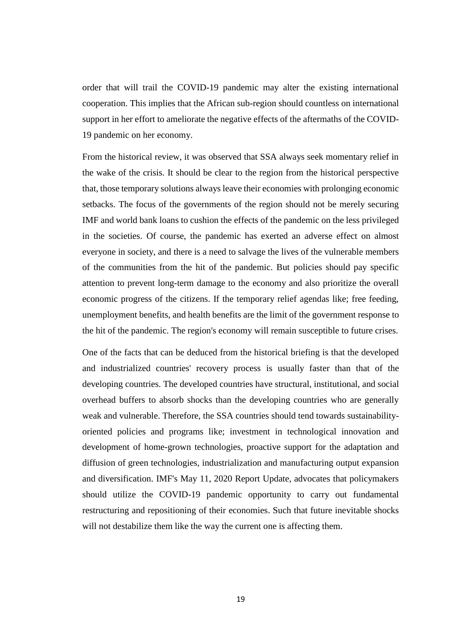order that will trail the COVID-19 pandemic may alter the existing international cooperation. This implies that the African sub-region should countless on international support in her effort to ameliorate the negative effects of the aftermaths of the COVID-19 pandemic on her economy.

From the historical review, it was observed that SSA always seek momentary relief in the wake of the crisis. It should be clear to the region from the historical perspective that, those temporary solutions always leave their economies with prolonging economic setbacks. The focus of the governments of the region should not be merely securing IMF and world bank loans to cushion the effects of the pandemic on the less privileged in the societies. Of course, the pandemic has exerted an adverse effect on almost everyone in society, and there is a need to salvage the lives of the vulnerable members of the communities from the hit of the pandemic. But policies should pay specific attention to prevent long-term damage to the economy and also prioritize the overall economic progress of the citizens. If the temporary relief agendas like; free feeding, unemployment benefits, and health benefits are the limit of the government response to the hit of the pandemic. The region's economy will remain susceptible to future crises.

One of the facts that can be deduced from the historical briefing is that the developed and industrialized countries' recovery process is usually faster than that of the developing countries. The developed countries have structural, institutional, and social overhead buffers to absorb shocks than the developing countries who are generally weak and vulnerable. Therefore, the SSA countries should tend towards sustainabilityoriented policies and programs like; investment in technological innovation and development of home-grown technologies, proactive support for the adaptation and diffusion of green technologies, industrialization and manufacturing output expansion and diversification. IMF's May 11, 2020 Report Update, advocates that policymakers should utilize the COVID-19 pandemic opportunity to carry out fundamental restructuring and repositioning of their economies. Such that future inevitable shocks will not destabilize them like the way the current one is affecting them.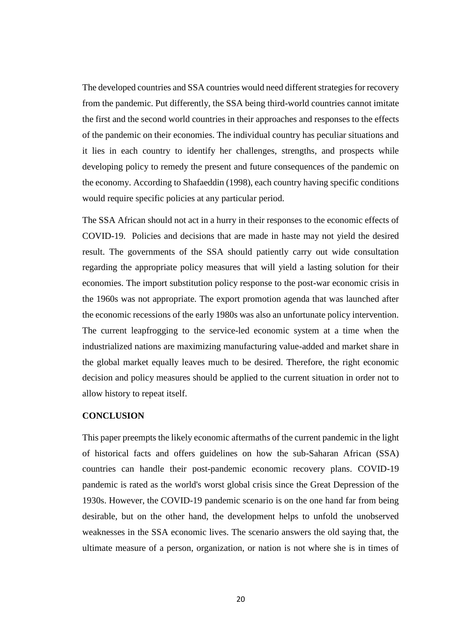The developed countries and SSA countries would need different strategies for recovery from the pandemic. Put differently, the SSA being third-world countries cannot imitate the first and the second world countries in their approaches and responses to the effects of the pandemic on their economies. The individual country has peculiar situations and it lies in each country to identify her challenges, strengths, and prospects while developing policy to remedy the present and future consequences of the pandemic on the economy. According to Shafaeddin (1998), each country having specific conditions would require specific policies at any particular period.

The SSA African should not act in a hurry in their responses to the economic effects of COVID-19. Policies and decisions that are made in haste may not yield the desired result. The governments of the SSA should patiently carry out wide consultation regarding the appropriate policy measures that will yield a lasting solution for their economies. The import substitution policy response to the post-war economic crisis in the 1960s was not appropriate. The export promotion agenda that was launched after the economic recessions of the early 1980s was also an unfortunate policy intervention. The current leapfrogging to the service-led economic system at a time when the industrialized nations are maximizing manufacturing value-added and market share in the global market equally leaves much to be desired. Therefore, the right economic decision and policy measures should be applied to the current situation in order not to allow history to repeat itself.

#### **CONCLUSION**

This paper preempts the likely economic aftermaths of the current pandemic in the light of historical facts and offers guidelines on how the sub-Saharan African (SSA) countries can handle their post-pandemic economic recovery plans. COVID-19 pandemic is rated as the world's worst global crisis since the Great Depression of the 1930s. However, the COVID-19 pandemic scenario is on the one hand far from being desirable, but on the other hand, the development helps to unfold the unobserved weaknesses in the SSA economic lives. The scenario answers the old saying that, the ultimate measure of a person, organization, or nation is not where she is in times of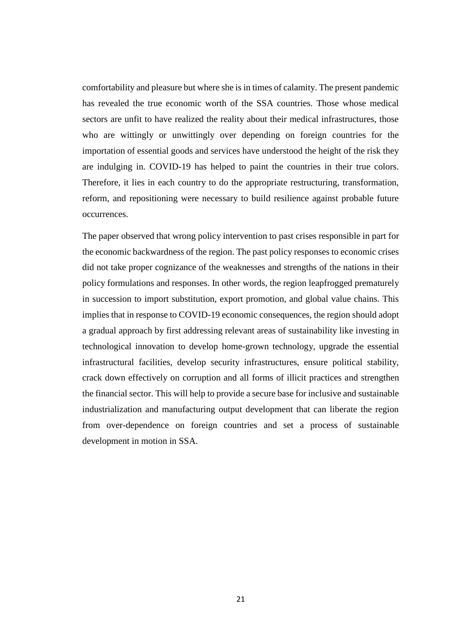comfortability and pleasure but where she is in times of calamity. The present pandemic has revealed the true economic worth of the SSA countries. Those whose medical sectors are unfit to have realized the reality about their medical infrastructures, those who are wittingly or unwittingly over depending on foreign countries for the importation of essential goods and services have understood the height of the risk they are indulging in. COVID-19 has helped to paint the countries in their true colors. Therefore, it lies in each country to do the appropriate restructuring, transformation, reform, and repositioning were necessary to build resilience against probable future occurrences.

The paper observed that wrong policy intervention to past crises responsible in part for the economic backwardness of the region. The past policy responses to economic crises did not take proper cognizance of the weaknesses and strengths of the nations in their policy formulations and responses. In other words, the region leapfrogged prematurely in succession to import substitution, export promotion, and global value chains. This implies that in response to COVID-19 economic consequences, the region should adopt a gradual approach by first addressing relevant areas of sustainability like investing in technological innovation to develop home-grown technology, upgrade the essential infrastructural facilities, develop security infrastructures, ensure political stability, crack down effectively on corruption and all forms of illicit practices and strengthen the financial sector. This will help to provide a secure base for inclusive and sustainable industrialization and manufacturing output development that can liberate the region from over-dependence on foreign countries and set a process of sustainable development in motion in SSA.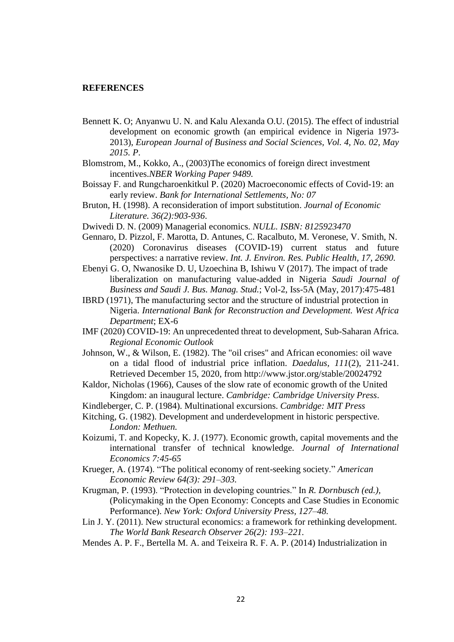#### **REFERENCES**

- Bennett K. O; Anyanwu U. N. and Kalu Alexanda O.U. (2015). The effect of industrial development on economic growth (an empirical evidence in Nigeria 1973- 2013), *European Journal of Business and Social Sciences, Vol. 4, No. 02, May 2015. P*.
- Blomstrom, M., Kokko, A., (2003)The economics of foreign direct investment incentives.*NBER Working Paper 9489.*
- Boissay F. and Rungcharoenkitkul P. (2020) Macroeconomic effects of Covid-19: an early review. *Bank for International Settlements, No: 07*
- Bruton, H. (1998). A reconsideration of import substitution. *Journal of Economic Literature. 36(2):903-936*.
- Dwivedi D. N. (2009) Managerial economics. *NULL. ISBN: 8125923470*
- Gennaro, D. Pizzol, F. Marotta, D. Antunes, C. Racalbuto, M. Veronese, V. Smith, N. (2020) Coronavirus diseases (COVID-19) current status and future perspectives: a narrative review. *Int. J. Environ. Res. Public Health, 17, 2690.*
- Ebenyi G. O, Nwanosike D. U, Uzoechina B, Ishiwu V (2017). The impact of trade liberalization on manufacturing value-added in Nigeria *Saudi Journal of Business and Saudi J. Bus. Manag. Stud.*; Vol-2, Iss-5A (May, 2017):475-481
- IBRD (1971), The manufacturing sector and the structure of industrial protection in Nigeria. *International Bank for Reconstruction and Development. West Africa Department*; EX-6
- IMF (2020) COVID-19: An unprecedented threat to development, Sub-Saharan Africa. *Regional Economic Outlook*
- Johnson, W., & Wilson, E. (1982). The "oil crises" and African economies: oil wave on a tidal flood of industrial price inflation. *Daedalus, 111*(2), 211-241. Retrieved December 15, 2020, from http://www.jstor.org/stable/20024792
- Kaldor, Nicholas (1966), Causes of the slow rate of economic growth of the United Kingdom: an inaugural lecture. *Cambridge: Cambridge University Press*.
- Kindleberger, C. P. (1984). Multinational excursions. *Cambridge: MIT Press*
- Kitching, G. (1982). Development and underdevelopment in historic perspective. *London: Methuen.*
- Koizumi, T. and Kopecky, K. J. (1977). Economic growth, capital movements and the international transfer of technical knowledge. *Journal of International Economics 7:45-65*
- Krueger, A. (1974). "The political economy of rent-seeking society." *American Economic Review 64(3): 291–303.*
- Krugman, P. (1993). "Protection in developing countries." In *R. Dornbusch (ed.),* (Policymaking in the Open Economy: Concepts and Case Studies in Economic Performance). *New York: Oxford University Press, 127–48.*
- Lin J. Y. (2011). New structural economics: a framework for rethinking development. *The World Bank Research Observer 26(2): 193–221.*
- Mendes A. P. F., Bertella M. A. and Teixeira R. F. A. P. (2014) Industrialization in